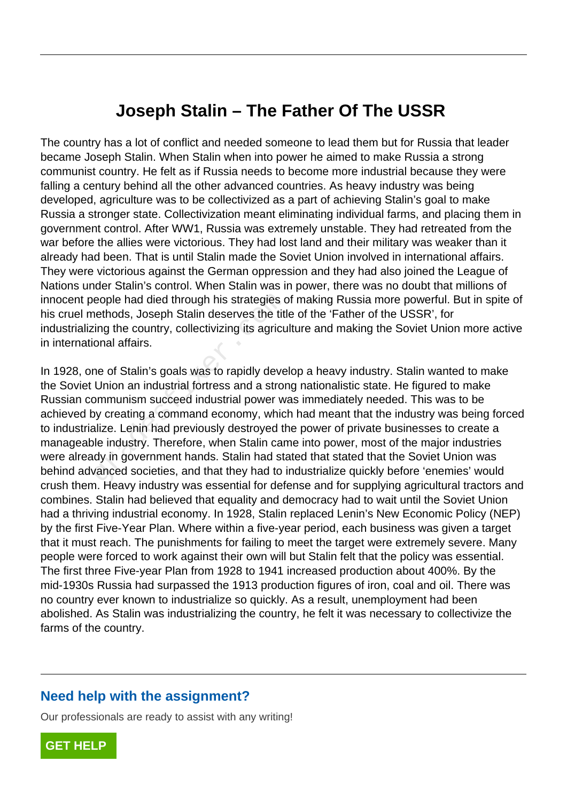## **Joseph Stalin – The Father Of The USSR**

The country has a lot of conflict and needed someone to lead them but for Russia that leader became Joseph Stalin. When Stalin when into power he aimed to make Russia a strong communist country. He felt as if Russia needs to become more industrial because they were falling a century behind all the other advanced countries. As heavy industry was being developed, agriculture was to be collectivized as a part of achieving Stalin's goal to make Russia a stronger state. Collectivization meant eliminating individual farms, and placing them in government control. After WW1, Russia was extremely unstable. They had retreated from the war before the allies were victorious. They had lost land and their military was weaker than it already had been. That is until Stalin made the Soviet Union involved in international affairs. They were victorious against the German oppression and they had also joined the League of Nations under Stalin's control. When Stalin was in power, there was no doubt that millions of innocent people had died through his strategies of making Russia more powerful. But in spite of his cruel methods, Joseph Stalin deserves the title of the 'Father of the USSR', for industrializing the country, collectivizing its agriculture and making the Soviet Union more active in international affairs.

In 1928, one of Stalin's goals was to rapidly develop a heavy industry. Stalin wanted to make the Soviet Union an industrial fortress and a strong nationalistic state. He figured to make Russian communism succeed industrial power was immediately needed. This was to be achieved by creating a command economy, which had meant that the industry was being forced to industrialize. Lenin had previously destroyed the power of private businesses to create a manageable industry. Therefore, when Stalin came into power, most of the major industries were already in government hands. Stalin had stated that stated that the Soviet Union was behind advanced societies, and that they had to industrialize quickly before 'enemies' would crush them. Heavy industry was essential for defense and for supplying agricultural tractors and combines. Stalin had believed that equality and democracy had to wait until the Soviet Union had a thriving industrial economy. In 1928, Stalin replaced Lenin's New Economic Policy (NEP) by the first Five-Year Plan. Where within a five-year period, each business was given a target that it must reach. The punishments for failing to meet the target were extremely severe. Many people were forced to work against their own will but Stalin felt that the policy was essential. The first three Five-year Plan from 1928 to 1941 increased production about 400%. By the mid-1930s Russia had surpassed the 1913 production figures of iron, coal and oil. There was no country ever known to industrialize so quickly. As a result, unemployment had been abolished. As Stalin was industrializing the country, he felt it was necessary to collectivize the farms of the country. eople had died through his strategies contract and the serves the titlying the country, collectivizing its agricu onal affairs.<br>The country collectivizing its agricu onal affairs.<br>The of Stalin's goals was to rapidly dever

## **Need help with the assignment?**

Our professionals are ready to assist with any writing!

**[GET HELP](https://my.gradesfixer.com/order?utm_campaign=pdf_sample)**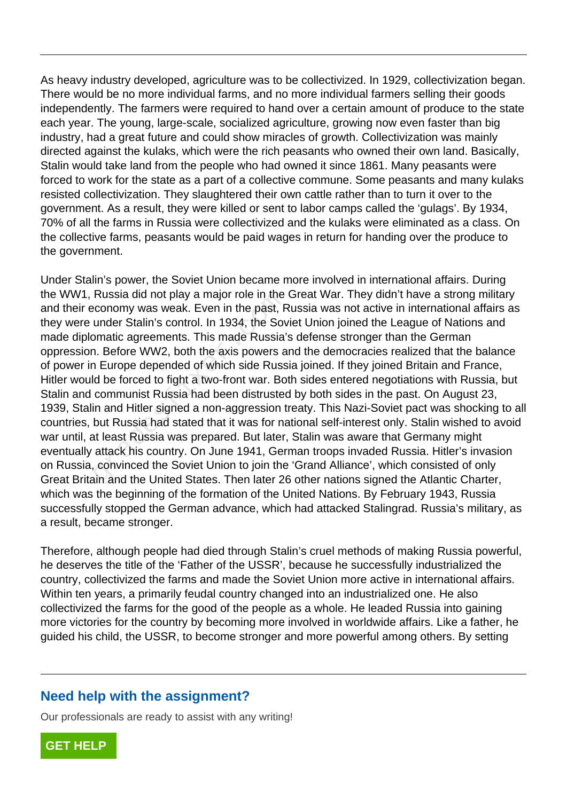As heavy industry developed, agriculture was to be collectivized. In 1929, collectivization began. There would be no more individual farms, and no more individual farmers selling their goods independently. The farmers were required to hand over a certain amount of produce to the state each year. The young, large-scale, socialized agriculture, growing now even faster than big industry, had a great future and could show miracles of growth. Collectivization was mainly directed against the kulaks, which were the rich peasants who owned their own land. Basically, Stalin would take land from the people who had owned it since 1861. Many peasants were forced to work for the state as a part of a collective commune. Some peasants and many kulaks resisted collectivization. They slaughtered their own cattle rather than to turn it over to the government. As a result, they were killed or sent to labor camps called the 'gulags'. By 1934, 70% of all the farms in Russia were collectivized and the kulaks were eliminated as a class. On the collective farms, peasants would be paid wages in return for handing over the produce to the government.

Under Stalin's power, the Soviet Union became more involved in international affairs. During the WW1, Russia did not play a major role in the Great War. They didn't have a strong military and their economy was weak. Even in the past, Russia was not active in international affairs as they were under Stalin's control. In 1934, the Soviet Union joined the League of Nations and made diplomatic agreements. This made Russia's defense stronger than the German oppression. Before WW2, both the axis powers and the democracies realized that the balance of power in Europe depended of which side Russia joined. If they joined Britain and France, Hitler would be forced to fight a two-front war. Both sides entered negotiations with Russia, but Stalin and communist Russia had been distrusted by both sides in the past. On August 23, 1939, Stalin and Hitler signed a non-aggression treaty. This Nazi-Soviet pact was shocking to all countries, but Russia had stated that it was for national self-interest only. Stalin wished to avoid war until, at least Russia was prepared. But later, Stalin was aware that Germany might eventually attack his country. On June 1941, German troops invaded Russia. Hitler's invasion on Russia, convinced the Soviet Union to join the 'Grand Alliance', which consisted of only Great Britain and the United States. Then later 26 other nations signed the Atlantic Charter, which was the beginning of the formation of the United Nations. By February 1943, Russia successfully stopped the German advance, which had attacked Stalingrad. Russia's military, as a result, became stronger. Russia did not play a major fole in the<br>conomy was weak. Even in the past, F<br>under Stalin's control. In 1934, the Sov<br>bmatic agreements. This made Russia'<br>n. Before WW2, both the axis powers a<br>n Europe depended of which si

Therefore, although people had died through Stalin's cruel methods of making Russia powerful, he deserves the title of the 'Father of the USSR', because he successfully industrialized the country, collectivized the farms and made the Soviet Union more active in international affairs. Within ten years, a primarily feudal country changed into an industrialized one. He also collectivized the farms for the good of the people as a whole. He leaded Russia into gaining more victories for the country by becoming more involved in worldwide affairs. Like a father, he guided his child, the USSR, to become stronger and more powerful among others. By setting

## **Need help with the assignment?**

Our professionals are ready to assist with any writing!

**[GET HELP](https://my.gradesfixer.com/order?utm_campaign=pdf_sample)**